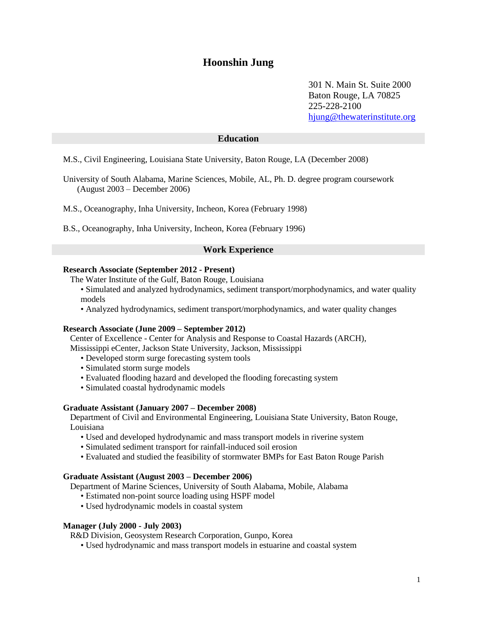# **Hoonshin Jung**

301 N. Main St. Suite 2000 Baton Rouge, LA 70825 225-228-2100 [hjung@thewaterinstitute.org](mailto:hjung@thewaterinstitute.org)

## **Education**

M.S., Civil Engineering, Louisiana State University, Baton Rouge, LA (December 2008)

University of South Alabama, Marine Sciences, Mobile, AL, Ph. D. degree program coursework (August 2003 – December 2006)

M.S., Oceanography, Inha University, Incheon, Korea (February 1998)

B.S., Oceanography, Inha University, Incheon, Korea (February 1996)

## **Work Experience**

## **Research Associate (September 2012 - Present)**

- The Water Institute of the Gulf, Baton Rouge, Louisiana
	- Simulated and analyzed hydrodynamics, sediment transport/morphodynamics, and water quality models
	- Analyzed hydrodynamics, sediment transport/morphodynamics, and water quality changes

#### **Research Associate (June 2009 – September 2012)**

Center of Excellence - Center for Analysis and Response to Coastal Hazards (ARCH), Mississippi eCenter, Jackson State University, Jackson, Mississippi

- Developed storm surge forecasting system tools
- Simulated storm surge models
- Evaluated flooding hazard and developed the flooding forecasting system
- Simulated coastal hydrodynamic models

#### **Graduate Assistant (January 2007 – December 2008)**

Department of Civil and Environmental Engineering, Louisiana State University, Baton Rouge, Louisiana

- Used and developed hydrodynamic and mass transport models in riverine system
- Simulated sediment transport for rainfall-induced soil erosion
- Evaluated and studied the feasibility of stormwater BMPs for East Baton Rouge Parish

#### **Graduate Assistant (August 2003 – December 2006)**

Department of Marine Sciences, University of South Alabama, Mobile, Alabama

- Estimated non-point source loading using HSPF model
- Used hydrodynamic models in coastal system

#### **Manager (July 2000 - July 2003)**

R&D Division, Geosystem Research Corporation, Gunpo, Korea

• Used hydrodynamic and mass transport models in estuarine and coastal system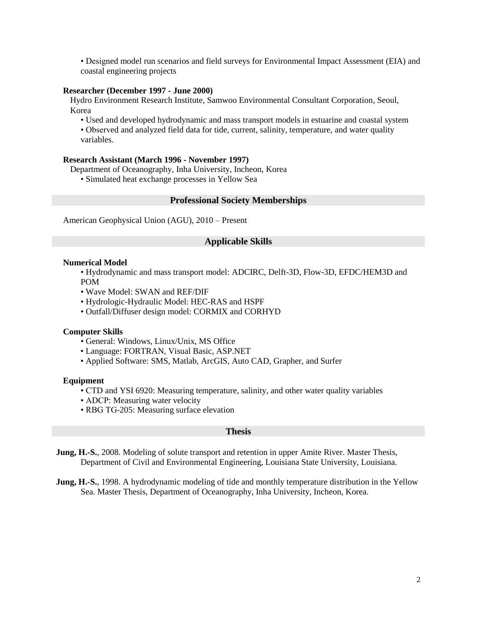• Designed model run scenarios and field surveys for Environmental Impact Assessment (EIA) and coastal engineering projects

#### **Researcher (December 1997 - June 2000)**

Hydro Environment Research Institute, Samwoo Environmental Consultant Corporation, Seoul, Korea

• Used and developed hydrodynamic and mass transport models in estuarine and coastal system • Observed and analyzed field data for tide, current, salinity, temperature, and water quality variables.

#### **Research Assistant (March 1996 - November 1997)**

Department of Oceanography, Inha University, Incheon, Korea • Simulated heat exchange processes in Yellow Sea

#### **Professional Society Memberships**

American Geophysical Union (AGU), 2010 – Present

## **Applicable Skills**

#### **Numerical Model**

• Hydrodynamic and mass transport model: ADCIRC, Delft-3D, Flow-3D, EFDC/HEM3D and POM

- Wave Model: SWAN and REF/DIF
- Hydrologic-Hydraulic Model: HEC-RAS and HSPF
- Outfall/Diffuser design model: CORMIX and CORHYD

#### **Computer Skills**

- General: Windows, Linux/Unix, MS Office
- Language: FORTRAN, Visual Basic, ASP.NET
- Applied Software: SMS, Matlab, ArcGIS, Auto CAD, Grapher, and Surfer

#### **Equipment**

- CTD and YSI 6920: Measuring temperature, salinity, and other water quality variables
- ADCP: Measuring water velocity
- RBG TG-205: Measuring surface elevation

#### **Thesis**

**Jung, H.-S.**, 2008. Modeling of solute transport and retention in upper Amite River. Master Thesis, Department of Civil and Environmental Engineering, Louisiana State University, Louisiana.

**Jung, H.-S.**, 1998. A hydrodynamic modeling of tide and monthly temperature distribution in the Yellow Sea. Master Thesis, Department of Oceanography, Inha University, Incheon, Korea.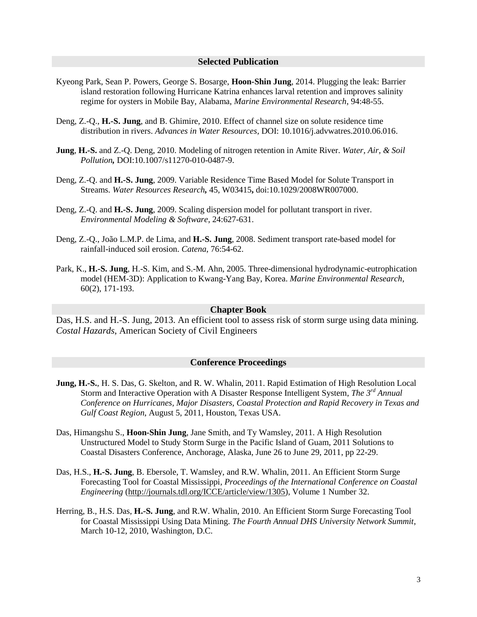#### **Selected Publication**

- Kyeong Park, Sean P. Powers, George S. Bosarge, **Hoon-Shin Jung**, 2014. Plugging the leak: Barrier island restoration following Hurricane Katrina enhances larval retention and improves salinity regime for oysters in Mobile Bay, Alabama, *Marine Environmental Research*, 94:48-55.
- Deng, Z.-Q., **H.-S. Jung**, and B. Ghimire, 2010. Effect of channel size on solute residence time distribution in rivers. *Advances in Water Resources,* DOI: 10.1016/j.advwatres.2010.06.016.
- **Jung**, **H.-S.** and Z.-Q. Deng, 2010. Modeling of nitrogen retention in Amite River. *Water, Air, & Soil Pollution,* DOI:10.1007/s11270-010-0487-9.
- Deng, Z.-Q. and **H.-S. Jung**, 2009. Variable Residence Time Based Model for Solute Transport in Streams. *Water Resources Research,* 45, W03415**,** doi:10.1029/2008WR007000.
- Deng, Z.-Q. and **H.-S. Jung**, 2009. Scaling dispersion model for pollutant transport in river. *Environmental Modeling & Software*, 24:627-631.
- Deng, Z.-Q., João L.M.P. de Lima, and **H.-S. Jung**, 2008. Sediment transport rate-based model for rainfall-induced soil erosion. *Catena*, 76:54-62.
- Park, K., **H.-S. Jung**, H.-S. Kim, and S.-M. Ahn, 2005. Three-dimensional hydrodynamic-eutrophication model (HEM-3D): Application to Kwang-Yang Bay, Korea. *Marine Environmental Research*, 60(2), 171-193.

#### **Chapter Book**

Das, H.S. and H.-S. Jung, 2013. An efficient tool to assess risk of storm surge using data mining*. Costal Hazards*, American Society of Civil Engineers

#### **Conference Proceedings**

- **Jung, H.-S.**, H. S. Das, G. Skelton, and R. W. Whalin, 2011. Rapid Estimation of High Resolution Local Storm and Interactive Operation with A Disaster Response Intelligent System, *The 3rd Annual Conference on Hurricanes, Major Disasters, Coastal Protection and Rapid Recovery in Texas and Gulf Coast Region*, August 5, 2011, Houston, Texas USA.
- Das, Himangshu S., **Hoon-Shin Jung**, Jane Smith, and Ty Wamsley, 2011. A High Resolution Unstructured Model to Study Storm Surge in the Pacific Island of Guam, 2011 Solutions to Coastal Disasters Conference, Anchorage, Alaska, June 26 to June 29, 2011, pp 22-29.
- Das, H.S., **H.-S. Jung**, B. Ebersole, T. Wamsley, and R.W. Whalin, 2011. An Efficient Storm Surge Forecasting Tool for Coastal Mississippi, *Proceedings of the International Conference on Coastal Engineering* [\(http://journals.tdl.org/ICCE/article/view/1305\)](http://journals.tdl.org/ICCE/article/view/1305), Volume 1 Number 32.
- Herring, B., H.S. Das, **H.-S. Jung**, and R.W. Whalin, 2010. An Efficient Storm Surge Forecasting Tool for Coastal Mississippi Using Data Mining. *The Fourth Annual DHS University Network Summit*, March 10-12, 2010, Washington, D.C.